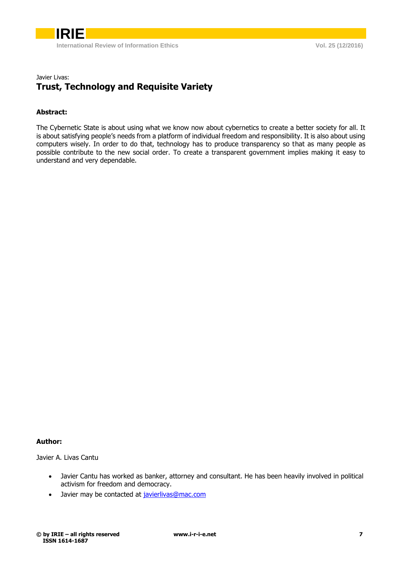

## Javier Livas: **Trust, Technology and Requisite Variety**

## **Abstract:**

The Cybernetic State is about using what we know now about cybernetics to create a better society for all. It is about satisfying people's needs from a platform of individual freedom and responsibility. It is also about using computers wisely. In order to do that, technology has to produce transparency so that as many people as possible contribute to the new social order. To create a transparent government implies making it easy to understand and very dependable.

## **Author:**

Javier A. Livas Cantu

- Javier Cantu has worked as banker, attorney and consultant. He has been heavily involved in political activism for freedom and democracy.
- Javier may be contacted at [javierlivas@mac.com](mailto:javierlivas@mac.com)